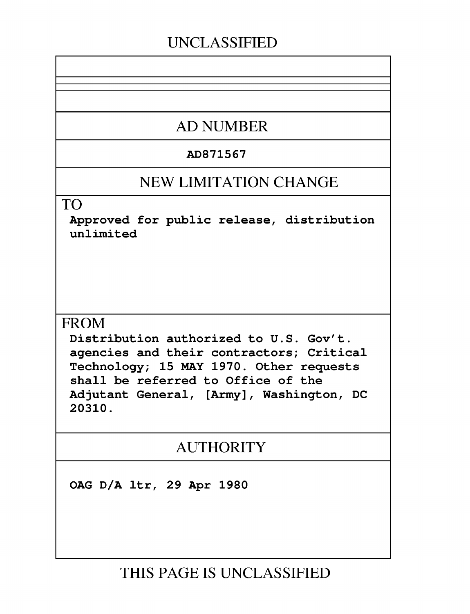# **UNCLASSIFIED**

# **AD NUMBER**

### AD871567

## **NEW LIMITATION CHANGE**

TO

Approved for public release, distribution unlimited

## **FROM**

Distribution authorized to U.S. Gov't. agencies and their contractors; Critical Technology; 15 MAY 1970. Other requests shall be referred to Office of the Adjutant General, [Army], Washington, DC 20310.

# AUTHORITY

OAG D/A ltr, 29 Apr 1980

**THIS PAGE IS UNCLASSIFIED**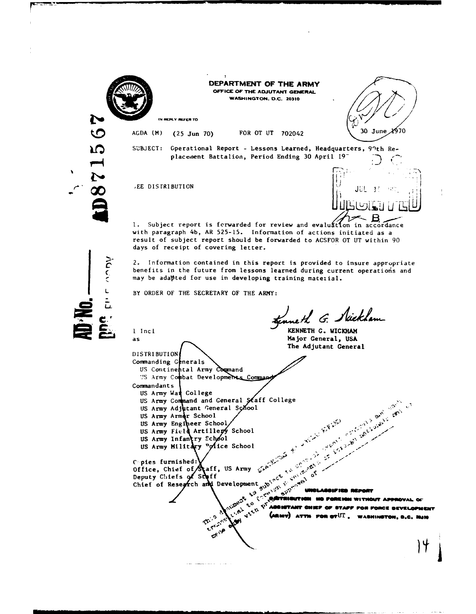|  | N | 亚 |  |
|--|---|---|--|
|  |   |   |  |
|  |   |   |  |
|  |   |   |  |

 $\overline{C}$ 

L.

.<br>N  $\overline{\alpha}$ 

 $\sum_{i=1}^{n}$ 

DEPARTMENT OF THE ARMY **OFFICE OP** THE **ADJUTANT GENERAL** WASHINGTON. **D.C. 20310**

IN REPLY REFER TO

AGDA (M) (25 Jun 70) FOR OT UT 702042 30 June 1970

SUBJECT: Operational Report - Lessons Learned, Headquarters, 91th Replacement Battalion, Period Ending 30 April 19-



1. Subject report is forwarded for review and evaluation in accordance with paragraph 4b, AR 525-15. Information of actions initiated as a result of subject report should be forwarded to ACSFOR OT UT within 90 days of receipt of covering letter.

2. Information contained in this report is provided to insure appropriate benefits in the future from lessons learned during current operations and may be adapted for use in developing training material.

BY ORDER OF THE SECRETARY OF THE ARMY:

uneth G. Nicklam

**I** Incl **KENNETH G. WICKHAM** as as **Major General**, USA The Adjutant General

DISTRIBUTION Commanding Generals US Continental Army Command US Army Combat Developments Comman Commandants<br>US Army Wan College US Army Command and General Staff College US Army Adjutant General School US Army Armor School US Army Engi eer School *.* t, . US Army Field Artillery School US Army Infantry Echool

US Army Military "ofice School

C pies furnished: $\bigvee$  and  $\bigvee$ Office, Chief of  $\mathcal{S}_{\mathbf{t}}$ aff, US Army Deputy Chiefs of Staf Chief of Research and Development.

**This** 

والعادوا وعمودهما ملا

بمح

**.**, THE CONSTRUCTION OF CONSTRUCTION OF CONSTRUCTION OF CONSTRUCTION OF CONSTRUCTION OF CONSTRUCTION OF CONSTRUCTION OF CONSTRUCTION OF CONSTRUCTION OF CONSTRUCTION OF CONSTRUCTION OF CONSTRUCTION OF CONSTRUCTION OF CONST **2, AND ATIM OF ABSISTANT CHIEF OF STAFF FOR FORCE BEVELOPMENT**  $\bullet$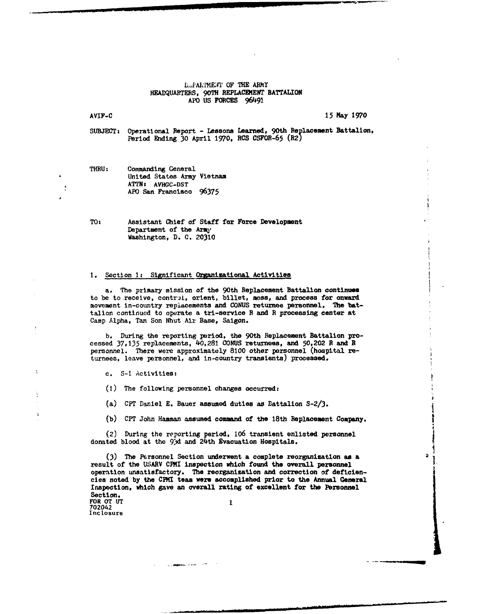#### L.PALIM1EAT OF THE ARNY HEADQUARTERS, 90TH REPLACEMENT BATTALION APO US FORCES 96491

#### AVIF-C 15 May 1970

SUBJECT: Operational Report - Lessons Learned, 90th Replacement Battalion, Period Ending 30 April 1970, **RCS** CSFOR-65 (R2

| <b>THRU:</b> | Commanding General         |  |  |  |  |
|--------------|----------------------------|--|--|--|--|
|              | United States Army Vietnam |  |  |  |  |
|              | ATTN: AVHGC-DST            |  |  |  |  |
|              | APO San Francisco 96375    |  |  |  |  |

TO: Assistant Chief of Staff for Force Development Department of the *Arm,* Washington, D. C. 20310

### 1. Section 1: Significant Organizational Activities

a. The primary mission of the 90th Replacement Battalion continues to be to receive, control, orient, billet, mess, and process for onward movement in-country replacements and CONUS returnee personnel. The battalion continued to operate a tri-service **R** and R processing center at Camp Alpha, Tan Son Nhut Air Base, Saigon.

b. During the reporting period, the 90th Replacement Battalion processed 37,135 replacements, 40,281 CONUS returnees, and 50,202 **R** and **H** personnel. There were approximately 8100 other personnel (hospital returnees, leave personnel, and in-country transients) processed.

c. S-I Activities:

**(1)** The following personnel changes occurred:

(a) CPT Daniel E. Bauer assumed duties as Battalion S-2/3.

(b) CPT John Hamman assumed command of the 18th Replacement Company.

(2) During the reporting period, 106 transient enlisted personnel donated blood at the **93d** and 24th Evacuation Hospitals.

(3) The Personnel Section underwent a complete reorganization as a result of the USARV CPMI inspection which found the overall personnel operation unsatisfactory. The reorganization and correction of deficiencies noted by the **CP1I** team were accomplished prior to the Annual General Inspection, which gave an overall rating of excellent for the Personnel Section. FOR OT **UT 1**

702042 Inc losure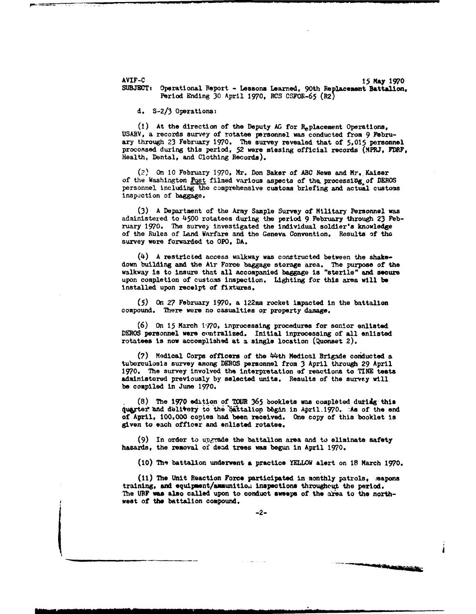AVIF-C 15 May 1970<br>SUBJECT: Operational Report - Lessons Learned, 90th Replacement Battalion Period Ending 30 April 1970. RCS CSFOR-65 (R2)

d. S-2/3 Operations:

(1) At the direction of the Deputy **AG** for Replacement Operations, USARV, a records survey of rotates personnel was conducted from 9 February through 23 February 1970. The survey revealed that of 5.015 personnel proconsed during this period, 52 were missing official records (NPRJ, FDRF, Health, Dental, and Clothing Records).

(2) On **10** February 1970, Mr. Don Baker of ABC News and Mr. Kaiser of the Washington Post filmed various aspects of the processing of DEROS personnel Including the comprehensive customs briefing and actual customs inspaction of baggage.

**(3)** A Department of the Army Sample Survey of Military Personnel was adainistered to 4500 rotatees during the period 9 February through 23 February 1970. The survey investigated the individual soldier's knowledge of the Rules of Land Warfare and the Geneva Convention. Results of tho survey were forwarded to OPO, DA.

(4) A restricted access walkway was constructed between the shakedown building and the Air Force baggage storage area. The purpose of the walkway is to insure that all accompanied baggage is "sterile" and secure upon completion of customs inspection. Lighting for this area will be installed upon receipt of fixtures.

(5) On 27 February 1970. a 122mm rocket impacted in the battalion compound. There were no casualties or property damage.

(6) On 15 March 1970, inprocessing procedures for senior enlisted DEROS personnel were centralized. Initial inprocessing of all enlisted rotatees is now accomplished at a single location (Quonset 2).

(7) Medical Corps officers of the 44th Medical Brigade conducted a tuberculosis survey among DEROS personnel from 3 April through 29 April 1970. The survey involved the interpretation ef reactions to TINE tests administered previously by selected units. Results of the survey will be compiled in June 1970.

(8) The 1970 edition of TOUR 365 booklets was completed during this quarter and delivery to the battalion began in April.1970. :As of the end of April, 100,000 copies had been received. One copy of this booklet is given to each officer and enlisted rotates.

 $(9)$  In order to upgrade the battalion area and to eliminate safety hazards, the removal of dead trees was begun in April 1970.

(10) **Thq** battalion underwent **a** practice YELLOW alert on 18 March **1970.**

**(11)** The Unit Reaction Force participated in monthly patrols, eapons training, **aid** equipment/ammunitioi inspections throughouet the period. The URF **was** also called upon to conduct sweeps of the area to the northwest of the battalion compound.

 $-2-$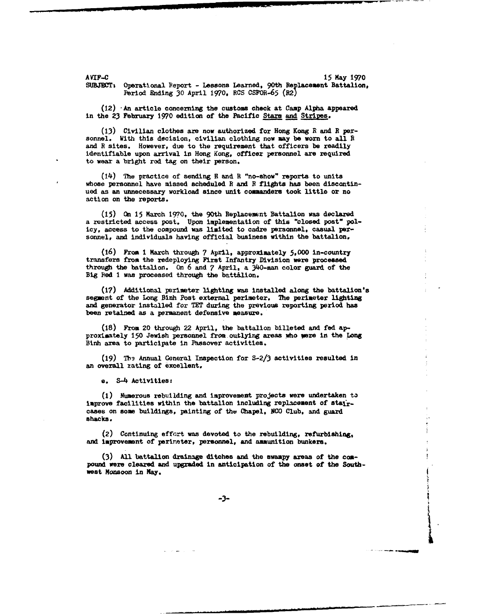*AVIF-C* 15 May **1970** SUBJECT: Operational Report - Lessons Learned, 90th Replacement Battalion, Period Ending 30 April 1970. *RCS* CSFOR-65 (R2)

 $(12)$  An article concerning the customs check at Camp Alpha appeared In the 23 February 1970 edition of the Pacific Stars and Stripes.

**(13)** Civilian clothes are now authorized for Hong Kong R and **E** per- sonnel. With this decision, civilian clothing now may be worn to all R and R sites. However, due to the requirement that officers be readily identifiable upon arrival in Hong Kong, officer personnel are required to wear a bright red tag on their person.

(14) The practice of sending **R** and R "no-show" reports to units whose personnel have missed scheduled R and B flights has been discontinued as an unnecessary workload since unit commanders took little or no action on the reports.

(15) On 15 March 1970, the 90th Replacement Battalion was declared a restricted access post. Upon implementation of this "closed post" policy, access to the compound was limited to cadre personnel, casual personnel, and individuals having official business within the battalion.

(16) From i March through **7** April, approximately 5,000 in-country transfers from the redeploying First Infantry Division were processed through the battalion. On 6 and **7** April. a 340-man color guard of the **Big** Red 1 was processed through the batt&lion.

(17) Additional perimeter lighting was installed along the battalion's segment of the Long Binh Post external perimeter. The perimeter lighting and generator Installed for TET during the previous reporting period has been retained as a permanent defensive measure.

(18) From 20 through 22 April, the battalion billeted and fed approximately 150 Jewish personnel from outlying areas who were in the Long Binh area to participate in Passover activities.

(19) Thý Annual General Inspection for S-2/3 activities resulted in an overall rating of excellent.

e. S-4 Activities.

(i) Numerous rebuilding and improvement projects were undertaken to improve facilities within the battalion including replacement of staircases on some buildings, painting of the Chapel, NCO Club. and guard shacks.

(2) Continuing effort was devoted to the rebuilding, refurbishing, and improvement of perireter, personnel, and ammunition bunkers.

(3) All battalion drainage ditches and the swampy areas of the compound were cleared and upgraded In anticipation of the onset of the Southwest Monsoon in **May.**

 $-3-$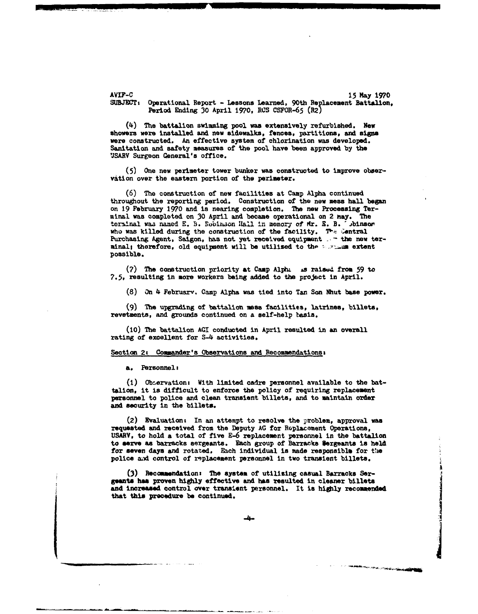AVIF-C 15 *May 1970* SUBJECT: Operational Report - Lessons Learned, 90th Replacement Battalion. Period Ending 30 April 1970, RCs CSFOR-65 (R2)

(4) The battalion swimming pool was extensively refurbished. New showers were installed and new sidewalks, fences, partitions, and signs were constructed. An effective system of chlorination was developed. Sanitation and safety measures of the pool have been approved by the 'SARV Surgeon General's office.

(5) One new perimeter tower bunker was constructed to improve observation over the eastern portion of the perimeter.

(6) The construction of new facilities at Camp Alpha continued throughout the reporting period. Construction of the new mess hall began on 19 February 1970 and is nearing completion. The new Processing Terminal was completed on 30 April and became operational on 2 nay. The terminal was named E. B. Robinson *Hall* in memory of Mr. *E. B. <sup>1</sup>* Jbinson who was killed during the construction of the facility. The Central Purchasing Agent, Saigon, has not yet received equipment **\_.-** the new terminal; therefore, old equipment will be utilized to the surraum extent possible.

(7) The construction priority at Camp Alpha is raised from 59 to 7.5, resulting in more workers being added to the project In April.

(8) On 4 February. Camp Alpha was tied into Tan Son Nhut base power.

(9) The upgrading of battalion mesa facilities, latrines, billets, revetments, and grounds continued on a self-help basis.

**(10)** The battalion **AGI** conducted in April resulted in an overall rating of excellent for S-4 activities.

### Section 2: Commander's Observations and Recommendations:

a. Personnel:

**(1)** Observation: With limited cadre personnel available to the battalion, it is difficult to enforce the policy of requiring replacement personnel to police and clean transient billets, and to maintain order and security in the billets.

(2) Evaluationt In an attempt to resolve the problem, approval was requested and received from the Deputy AG for Replacement Operations, USAR¥, to hold a total of five E-6 replacement personnel in the battalion to serve **as** barracks sergeants. Each group of Barracks sergeants is held for seven days and rotated. Each individual is made responsible for the police **ad** control of replacement personnel in two transient billets.

**(3)** Recommendations The system of utilizing casual Barracks Sergeants has proven highly effective and has resulted in cleaner billets and Increased control over transient personnel. It is **highly** recomended that this procedure be continued.

المصادرة فأناهض والراعين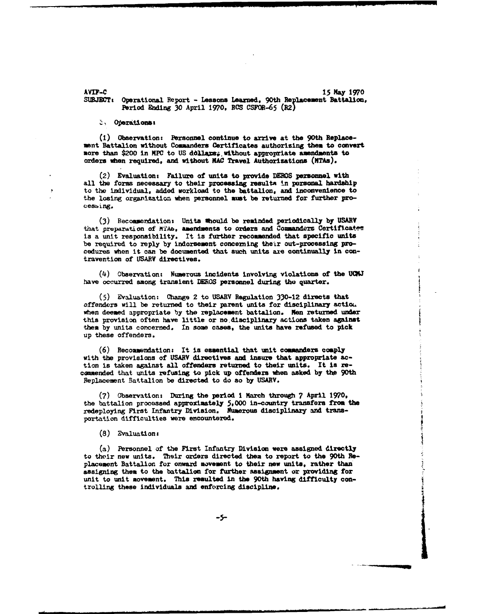AVIF-C 15 May **1970** SUBJECT: Operational Report - Lessons Learned, 90th Replacement Battalion, Period Ending 30 April 1970, RCS CSFOR-65 (R2)

S. Operations:

(1) Observation: Personnel continue to arrive at the 90th Replacement Battalion without Commanders Certificates authorizing then to convert more than \$200 in MPC to US dollars; without appropriate amendments to orders uhen required, and without **MAC** Travel Authorizations **(MTAs).**

(2) Evaluations Failure of units to provide DEROS personnel with all the forms necessary to their processing resulta in personal hardship to the individual, added workload to the battalion, and inconvenience to the losing organization when personnel must be returned for further proceseing.

(3) Recommernation: Units should be reminded periodically by USARV that preparation of *MTAB*, amendments to orders and Commanders Certificates is a unit responsibility. It is further recommended that specific units be required to reply by indorsement concerning their out-processing procedures when it can be documented that such units axe continually in contravention of **USARV** directives.

(4) Observation: Numerous incidents involving violations of the **UCM1** have occurred among transient DEROS personnel during the quarter.

**(5)** Evaluation: Change 2 to **USARV** Regulation 330-12 directs that offenders will be returned to their parent units for disciplinary action. when deemed appropriate by the replacement battalion. Men returned under this provision often have little or no.disciplinary actions taken against them by units concerned. In some cases, the units have refused to pick up these offenders.

 $(6)$  Recommendation: It is essential that unit commanders comply with the provisions of **USABV** directives and insure that appropriate action is taken against all offenders returned to their units. It is recommended that units refusing to pick up offenders when asked by the 90th Replacement Battalion be directed to do so by USARV.

**(7)** Observations During the period **I** March through **7** April 1970, the battalion processed approximately 5,000 in-country transfers from the redeploying First Infantry Division. Numerous disciplinary and transportation difficulties were encountered.

(8) Evaluations

(a) Personnel of the First Infantry Division were assigned directly to their new units. Their orders directed them to report to the 90th **Flo**placement Battalion for onward movement to their new units, rather than assigning them to the battalion for further assignment or providing for unit to unit movement. This resulted in the 90th having difficulty controlling these individuals and enforcing discipline.

**-5-i** 1 \*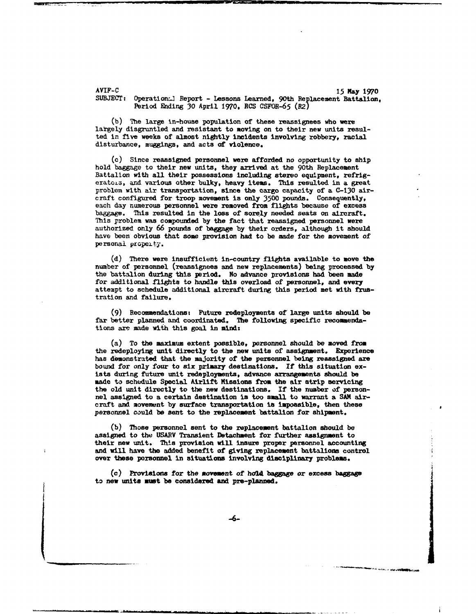AYIF-C 15 **May** 1970 Operation. Report - Lessons Learned, 90th Replacement Battalion, Period Ending 30 April 1970, **RCS** CSFOR-65 (12)

(b) The large in-house population of these reassignees who were largely disgruntled and resistant to moving on to their new units resulted in five weeks of almost nightly incidents Involving robbery, racial disturbance, muggings, and acts of violence.

(c) Since reassigned personnel were afforded no opportunity to ship hold baggage to their new units, they arrived at the 90th Replacement Battalion with all their possessions including stereo equipment, refrigeratois, and various other bulky, heavy items. This resulted in a great problem with air transportation, since the cargo capacity of a C-130 aircraft configured for troop movement is only 3500 pounds. Consequently, each day numerous personnel were removed from flights because of excess baggage. This resulted in the loss of sorely needed seats on aircraft. This problem was compounded by the fact that reassigned personnel were authorized only 66 pounds of baggage by their orders, although it should have been obvious that some provision had to be made for the movement of personal property.

(d) There were insufficient in-country flights available to move the number of personnel (reassignees and new replacements) being processed by the battalion during this period. No advance provisions had been made for additional flights to handle this overload of personnel, and every attempt to schedule additional aircraft during this period met with frustration and failure.

(9) Recommendations: Future redeployments of large units should be far better planned and coordinated. The following specific recommendations are made with this goal in mind:

(a) To the maximum extent possible, personnel should be moved from the redeploying unit directly to the new units of assignment. Experience has demonstrated that the majority of the personnel being reassigned are bound for only four to six primary destinations. If this situation exists during future unit redeployments, advance arrangements should be made to schedule Special Airlift Missions from the air strip servicing the old unit directly to the new destinations. If the number of personnel assigned to a certain destination is too small to warrant a SAM aircraft and movement by surface transportation is impossible, then these personnel could be sent to the replacement battalion for shipment.

(b) Those personnel sent to the replacement battalion should be assigned to the USARV Transient Detachment for further assignment to their new unit. This provision will insure proper personnel accounting and will have the added benefit of giving replacement battalions control over these personnel in situations involving disciplinary problems.

(c) Provisions for the movement of hold baggage or excess baggage to new units must be considered and pro-planned.

-6-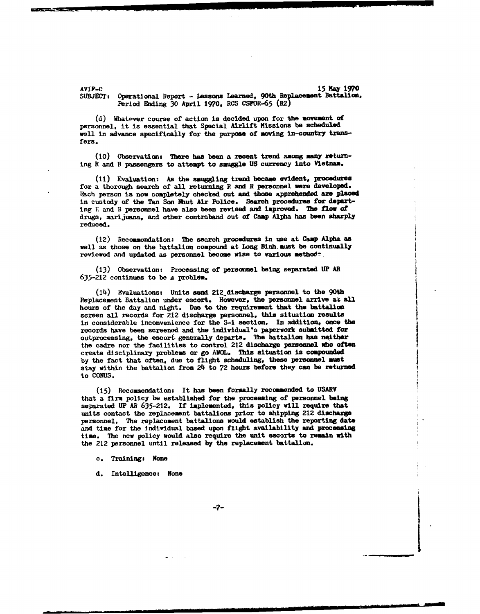AVIF-C 15 **Kay 19?0 SUBJECT:** Operational Report - Lessons Learned, 90th Replacement Battalion. Period Ending 30 April 1970, RCS CSFOR-65 (R2)

(d) Whatever course of action is decided upon for the movement of personnel, it is essential that Special Airlift Missions **be** scheduled well in advance specifically for the purpose of moving in-country transfers.

**(10)** Observations There has been a recent trend among many returning R and **F** passengers to attempt to smuggle US currency into Vietnam.

**(11)** Evaluation: As the snuggling trend became evident, procedures for a thorough search of all returning R and R personnel were developed. **Mach** person **Is** now completely checked out and those apprehended are placed in custody of the Tan Son Nhut Air Police. Search procedures for departing **E** and **R** personnel have also been revised and improved. *The* flow of drugs, marijuana, and other contraband out of Camp Alpha has been sharply reduced.

(12) Recommendation: The search procedures in use at Camp Alpha as well as those on the battalion compound at Long Binh must be continually reviewed and updated as personnel become wise to various method:

(13) Observation: Processing of personnel being separated UP AR

(14) Evaluations: Units send 212 discharge personnel to the 90th Replacement Battalion under escort. However, the personnel arrive at all hours of the day and night. Due to the requirement that the battalion screen all records for 212 discharge personnel, this situation results in considerable inconvenience for the S-i section, In addition, once the records have been screened and the Individual's paperwork submitted for outprocessing, the escort generally departs. The battalion has neither the cadre nor the facilities to control 212 discharge personnel who often create disciplinary problems or go AWOL. This situation is compounded by the fact that often, due to flight scheduling, these personnel must stay within the battalion from 24 to 72 hours before they can be returned to CONUS.

(15) Recommendation: It has been formally recommended to **USARY** that a firm policy be established for the processing of personnel being separated UP *AR* 635-212. If implemented, this policy will require that units contact the replacement battalions prior to shipping 212 discharge personnel. The replacement battalions would establish the reporting date and time for the individual based upon flight availability and processing time. The new policy would also require the unit escorts to remain with the 212 personnel until released by the replacement battalion.

c. Training: None

d. Intelligence: None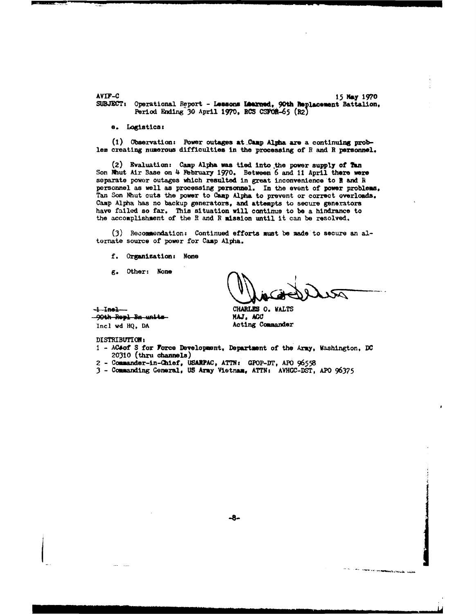AVIF-C 15 May 1970 **SUBJECT:** Operational Report - Lessons **Lbated,** 90th ?placemsnt Battalion, Period Ending  $30$  April 1970, RCS CSFOR-65 (R2)

#### a. Logistics:

(1) Observation: Power outages at Camp Alpha are a continuing problem creating numerous difficulties in the processing of **R** and R personnel.

 $(2)$  Evaluation: Camp Alpha was tied into the power supply of Tan Son Nhut Air Base on 4 February 1970. Between 6 and 11 April there were separate power outages which resulted in great inconvenience to **I** and R personnel as well as processing personnel. In the event of power problems, Tan Son Nhut cuts the power to Camp Alpha to prevent or correct overloads. Camp Alpha has no backup generators, and attempts to secure generators have failed so far. This situation will continue to be a hindrance to the accomplishment of the R and **R** mission until it can be resolved.

(3) Recommendation: Continued efforts must be made to secure an altornate source of power for Camp Alpha.

f. Organization: None

**g.** Other: None

فسندين أجربا فأفاقه

بجهور بهريجه وكله

**I Inel--** CHARLES **0. WALTS 90th Repl Bn units**<br>Incl wd HQ, DA

DISTRIBUTION:

1 - ACsof S for Force Development, Department of the Army, Washington, DC **20310** (thru channels)

Acting Commander

- 2 Commander-in-Chief, USARPAC, ATTN: GPOP-DT, APO 96558
- 3 Commanding General, US Army Vietnam, ATTN: AVHGC-DST, APO 96375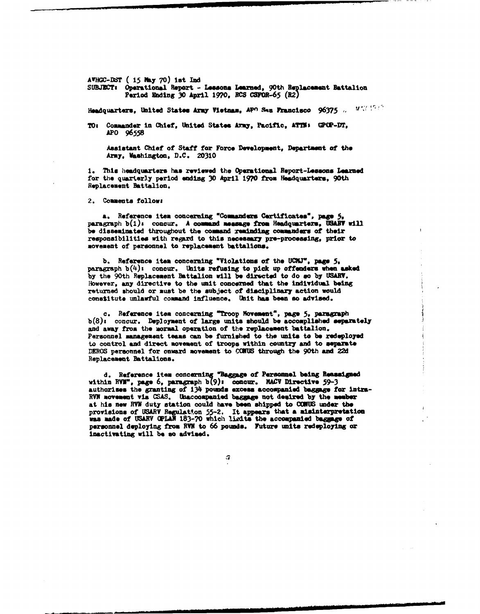AVHGC-DST ( 15 May 70) ist Ind SUBJECT: Operational Report - Lessons Learned, 90th Replacement Battalion Period Ending 30 April 1970, RCS CSFOR-65 (R2)

Headquarters, United States Army Vietnam, APO Sau Francisco 96375 ... Which is

Tot Commander in Chief, United States Army, Pacific, ATlNh G2CP-DT, APO 96558

Assistant Chief of Staff for Force Development, Department of the Army, Vashington, D.C. 20310

**1.** This headquarters has reviewed the Operational Report-Lessons Learned for the quarterly period ending 30 April 1970 from Headquarters, 90th Replacement Battalion.

2. Comments follows

**a.** Reference item concerning "Cowmanders Certificates", pap **5,** paragraph b(1)s concur. A command message from Headquarters, USARV will be disseminated throughout the command reminding *commandes* of their responsibilities with regard to this necessary pro-processing, prior to movement of personnel to replacement battalions.

b. Reference item concerning "Violations of the **UCJP, page 5,** paragraph  $b(4)$ : concur. Units refusing to pick up offenders when asked by the 90th Replacement Battalion will be directed to do so by USABW. However, any directive to the unit concerned that the individual **being** returned should or must be the subject of disciplinary action would constitute unlawful command influence. Unit has been so advised.

*c.* \*Reference item concerning 'Troop Movement, **page 5,** paragraph b(8)s concur. Deployment of large units should be accomplished separately and away **from** the mormal operation of the replacement battalion. Personnel managemeant teas can be furnished to the units to be redeployed to control **and** direct movement of troops within country and to separate DEROS personnel for onward movement to CCKS through the 90th and 22d Replacement Battalions.

**d.** Reference item concerning **'Baggage** of **Personnel** being **Reasmigned** within RVM", page 6, paragraph b(9): concur. MACV Directive 59-3 authorises the granting of 134 pounds excess accompanied baggage for intra-RYN movement via **CSAS.** Umacoompanied **bagpg** not **desired** by the **member** at his now MV duty station could have bees shipped to **CCUS** under the provisions of USARY Regulatton **55-2.** It **appears** that **a** misinterpretation was **made** of **TMART** (PLAN 183-70 which Iicito the accompanied **baggage** of personnel deploying **from** RVN to 66 **pounds.** Future units redeploying or inactivating will be **so** advised.

G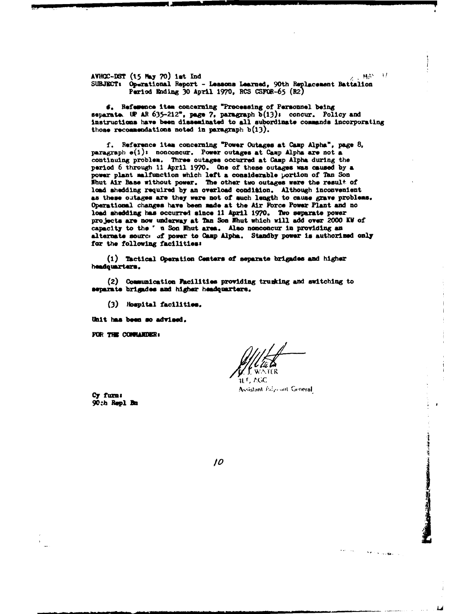AVHGC-DST (15 May 70) ist Ind AVHGC-DST (15 May 70) ist Ind<br>SUBJECT: Operational Report - Lessons Learned, 90th Replacement Battalion Period Ending  $30$  April 1970, RCS CSFOR-65 (R2)

6. Refewence item concerning "Processing of Personnel being separate. **UP AR 635-212", page 7, paragraph**  $b(13)$ **, concur. Policy and** Instructions have been disseminated to all subordinate commands Incorporating those recommendations noted in paragraph  $b(13)$ .

f. Reference item concerning "Power Outages at Camp Alpha", page 8, paragraph  $e(1)$ : nonconcur. Power outages at Camp Alpha are not a continuing problem. Three outages occurred at Camp Alpha during the period 6 through 11 April 1970. One of these outages was caused by a power plant malfunction **which** left **a** considerable portion of Tan Son Nhut Air Base without power. The other two outages were the result of load shedding required by an overload condition. Although inconvenient as these outages are they were not of such length to cause **grave** problems. Operational changes have been made at the Air Force Power Plant and no load **shedding** has occurred since **11** April 1970. Two separate power projects are now underway at Tan Son Ihut which will add over 2000 **KV** of capacity to the" u Son Ihut area. Also nonconcur In providing an alternate sourc, **of** power to Camp Alpha. Standby power **ts** authorized only for the following facilities:

(i) Tactical operation Centers **of** separate brigade and higher hedquarters.

(2) Communication Facilities providing trusking and switching to separato **brledoe and** higher headquarters.

 $(3)$  Hospital facilities.

Unit has been so advised.

**FOR THE CONFIANDER:** 

it R

Assistant Adjustin General

i Li

Service-Bache

 $\rightarrow$ 

Cy **fram** 90:h **Rsepl n**

10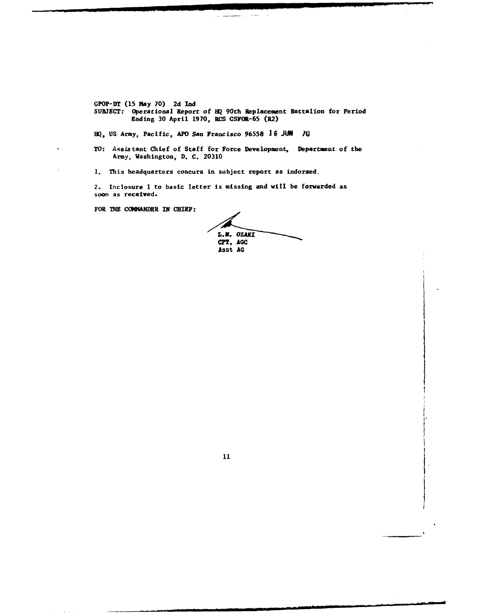GPOP-IY! (15 May 70) 2d **Ind**

SUBJECT: Operational Report of HQ 90th Replacement Battalion for Feriod Ending 30 April 1970, RCS CSFOR-65 (R2)

al **la communa**ción de la f

**HQ,** US Army, Pacific, APO San Francisco 96558 16 **JUN 10**

TO: Assistant Chief of Staff for Force Development, Department of the Army, Washington, D. C. 20310

**1.** This headquarters concurs in subject report as indorsed.

2. Inclosure **1** to basic letter is missing and will be forwarded as soon as received.

FOR **THE** COMHANDER IN **CHIEF:**

L.M. OZAKI<br>**GPT**, AGC Asst **AG**

11